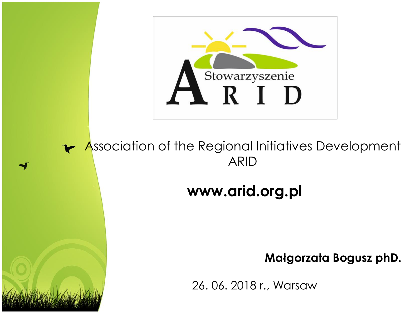

#### **Association of the Regional Initiatives Development** ARID

#### **www.arid.org.pl**

#### **Małgorzata Bogusz phD.**

26. 06. 2018 r., Warsaw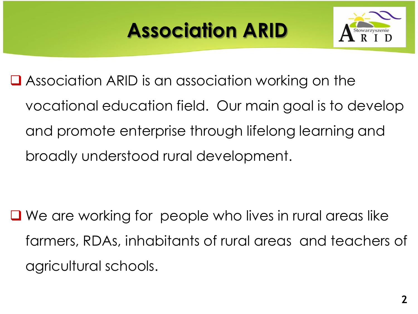# **Association ARID**



■ Association ARID is an association working on the vocational education field. Our main goal is to develop and promote enterprise through lifelong learning and broadly understood rural development.

■ We are working for people who lives in rural areas like farmers, RDAs, inhabitants of rural areas and teachers of agricultural schools.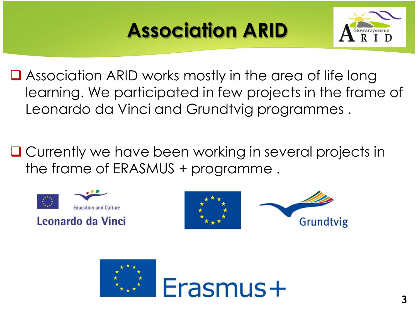# **Association ARID**



■ Association ARID works mostly in the area of life long learning. We participated in few projects in the frame of Leonardo da Vinci and Grundtvig programmes .

**□ Currently we have been working in several projects in** the frame of ERASMUS + programme .







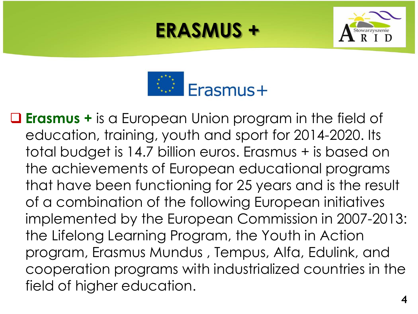



 **Erasmus +** is a European Union program in the field of education, training, youth and sport for 2014-2020. Its total budget is 14.7 billion euros. Erasmus + is based on the achievements of European educational programs that have been functioning for 25 years and is the result of a combination of the following European initiatives implemented by the European Commission in 2007-2013: the Lifelong Learning Program, the Youth in Action program, Erasmus Mundus , Tempus, Alfa, Edulink, and cooperation programs with industrialized countries in the field of higher education.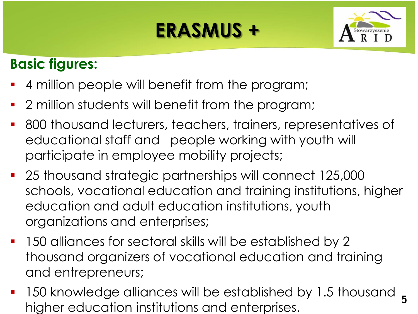

#### **Basic figures:**

- 4 million people will benefit from the program;
- 2 million students will benefit from the program;
- 800 thousand lecturers, teachers, trainers, representatives of educational staff and people working with youth will participate in employee mobility projects;
- 25 thousand strategic partnerships will connect 125,000 schools, vocational education and training institutions, higher education and adult education institutions, youth organizations and enterprises;
- 150 alliances for sectoral skills will be established by 2 thousand organizers of vocational education and training and entrepreneurs;
- 150 knowledge alliances will be established by 1.5 thousand 5 higher education institutions and enterprises. **<sup>5</sup>**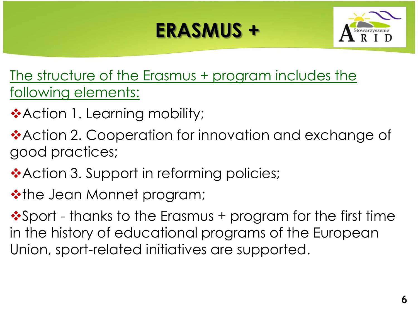

The structure of the Erasmus + program includes the following elements:

- ❖ Action 1. Learning mobility;
- **\*Action 2. Cooperation for innovation and exchange of** good practices;
- ❖ Action 3. Support in reforming policies;
- **\*the Jean Monnet program;**

❖ Sport - thanks to the Erasmus + program for the first time in the history of educational programs of the European Union, sport-related initiatives are supported.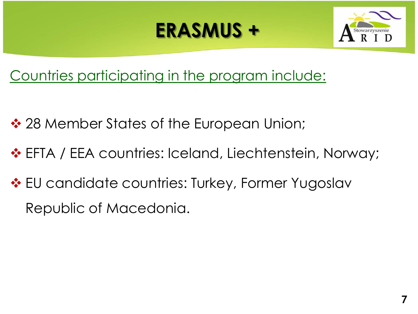

Countries participating in the program include:

- ❖ 28 Member States of the European Union;
- EFTA / EEA countries: Iceland, Liechtenstein, Norway;
- $\cdot$  **EU** candidate countries: Turkey, Former Yugoslav Republic of Macedonia.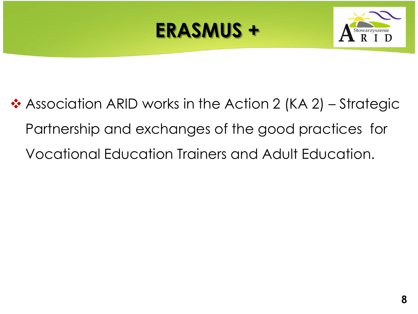



❖ Association ARID works in the Action 2 (KA 2) – Strategic Partnership and exchanges of the good practices for Vocational Education Trainers and Adult Education.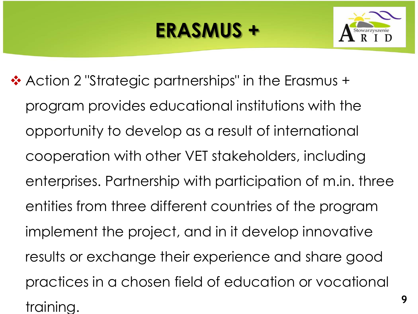

**9**

❖ Action 2 "Strategic partnerships" in the Erasmus + program provides educational institutions with the opportunity to develop as a result of international cooperation with other VET stakeholders, including enterprises. Partnership with participation of m.in. three entities from three different countries of the program implement the project, and in it develop innovative results or exchange their experience and share good practices in a chosen field of education or vocational training.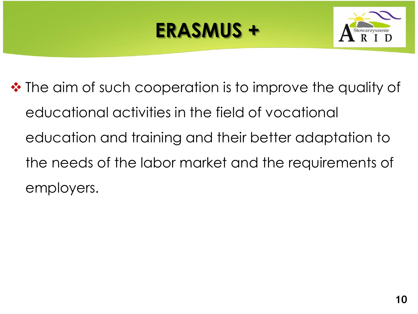

 $\triangle$  **The aim of such cooperation is to improve the quality of** educational activities in the field of vocational education and training and their better adaptation to the needs of the labor market and the requirements of employers.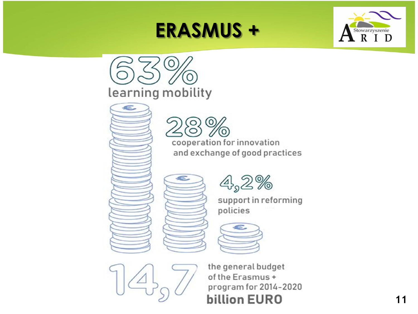





support in reforming policies





the general budget of the Erasmus+ program for 2014-2020 **billion EURO**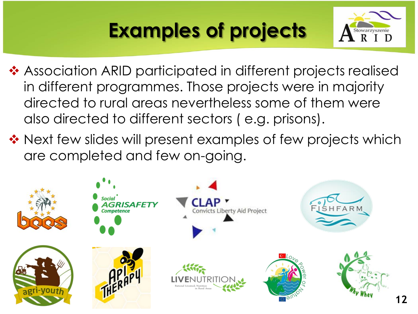

- ❖ Association ARID participated in different projects realised in different programmes. Those projects were in majority directed to rural areas nevertheless some of them were also directed to different sectors ( e.g. prisons).
- ❖ Next few slides will present examples of few projects which are completed and few on-going.

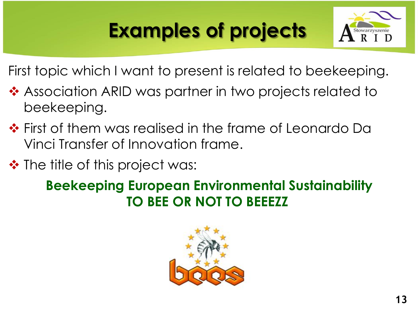

First topic which I want to present is related to beekeeping.

- ❖ Association ARID was partner in two projects related to beekeeping.
- ❖ First of them was realised in the frame of Leonardo Da Vinci Transfer of Innovation frame.
- ❖ The title of this project was:

#### **Beekeeping European Environmental Sustainability TO BEE OR NOT TO BEEEZZ**

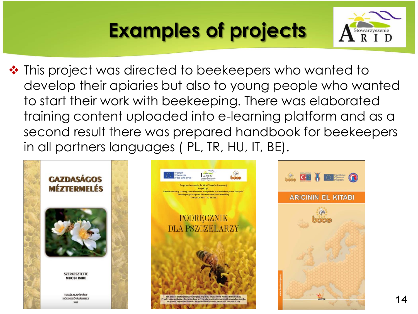

❖ This project was directed to beekeepers who wanted to develop their apiaries but also to young people who wanted to start their work with beekeeping. There was elaborated training content uploaded into e-learning platform and as a second result there was prepared handbook for beekeepers in all partners languages ( PL, TR, HU, IT, BE).

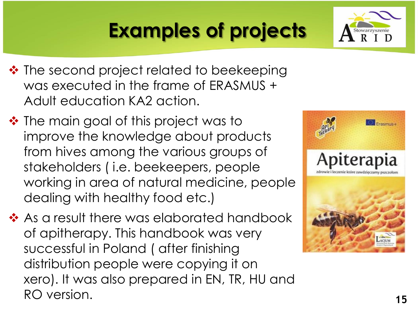- ❖ The second project related to beekeeping was executed in the frame of ERASMUS + Adult education KA2 action.
- $\cdot \cdot$  The main goal of this project was to improve the knowledge about products from hives among the various groups of stakeholders ( i.e. beekeepers, people working in area of natural medicine, people dealing with healthy food etc.)
- ❖ As a result there was elaborated handbook of apitherapy. This handbook was very successful in Poland ( after finishing distribution people were copying it on xero). It was also prepared in EN, TR, HU and RO version. **15**



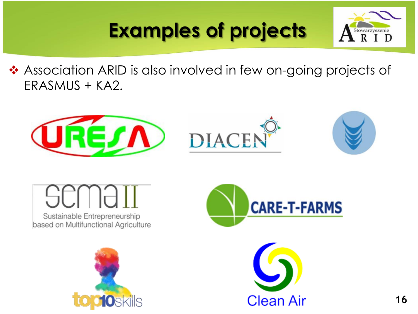

◆ Association ARID is also involved in few on-going projects of ERASMUS + KA2.



# Sustainable Entrepreneurship

based on Multifunctional Agriculture





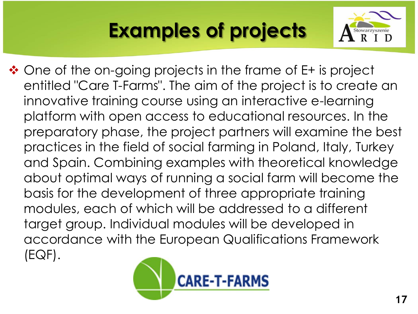

❖ One of the on-going projects in the frame of E+ is project entitled "Care T-Farms". The aim of the project is to create an innovative training course using an interactive e-learning platform with open access to educational resources. In the preparatory phase, the project partners will examine the best practices in the field of social farming in Poland, Italy, Turkey and Spain. Combining examples with theoretical knowledge about optimal ways of running a social farm will become the basis for the development of three appropriate training modules, each of which will be addressed to a different target group. Individual modules will be developed in accordance with the European Qualifications Framework (EQF).

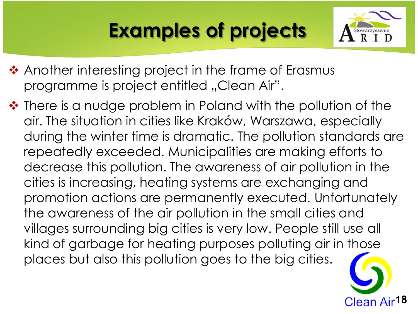

- ❖ Another interesting project in the frame of Erasmus programme is project entitled "Clean Air".
- $\cdot$  There is a nudge problem in Poland with the pollution of the air. The situation in cities like Kraków, Warszawa, especially during the winter time is dramatic. The pollution standards are repeatedly exceeded. Municipalities are making efforts to decrease this pollution. The awareness of air pollution in the cities is increasing, heating systems are exchanging and promotion actions are permanently executed. Unfortunately the awareness of the air pollution in the small cities and villages surrounding big cities is very low. People still use all kind of garbage for heating purposes polluting air in those places but also this pollution goes to the big cities.

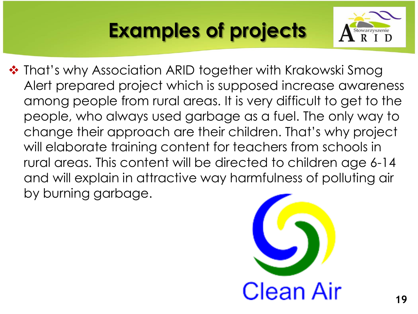

❖ That's why Association ARID together with Krakowski Smog Alert prepared project which is supposed increase awareness among people from rural areas. It is very difficult to get to the people, who always used garbage as a fuel. The only way to change their approach are their children. That's why project will elaborate training content for teachers from schools in rural areas. This content will be directed to children age 6-14 and will explain in attractive way harmfulness of polluting air by burning garbage.